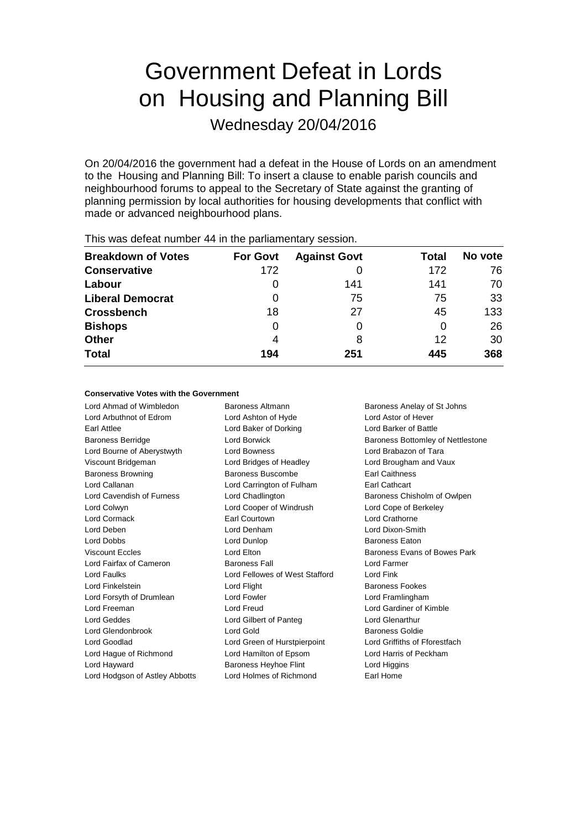# Government Defeat in Lords on Housing and Planning Bill

Wednesday 20/04/2016

On 20/04/2016 the government had a defeat in the House of Lords on an amendment to the Housing and Planning Bill: To insert a clause to enable parish councils and neighbourhood forums to appeal to the Secretary of State against the granting of planning permission by local authorities for housing developments that conflict with made or advanced neighbourhood plans.

| <b>Breakdown of Votes</b> | <b>For Govt</b> | <b>Against Govt</b> | Total | No vote |
|---------------------------|-----------------|---------------------|-------|---------|
| <b>Conservative</b>       | 172             |                     | 172   | 76      |
| Labour                    | 0               | 141                 | 141   | 70      |
| <b>Liberal Democrat</b>   | O               | 75                  | 75    | 33      |
| <b>Crossbench</b>         | 18              | 27                  | 45    | 133     |
| <b>Bishops</b>            | 0               |                     | 0     | 26      |
| <b>Other</b>              | 4               | 8                   | 12    | 30      |
| <b>Total</b>              | 194             | 251                 | 445   | 368     |
|                           |                 |                     |       |         |

This was defeat number 44 in the parliamentary session.

#### **Conservative Votes with the Government**

Lord Ahmad of Wimbledon Baroness Altmann Baroness Anelay of St Johns Lord Arbuthnot of Edrom Lord Ashton of Hyde Lord Astor of Hever Earl Attlee Lord Baker of Dorking Lord Barker of Battle Baroness Berridge **Lord Borwick** Baroness Bottomley of Nettlestone Lord Bourne of Aberystwyth Lord Bowness Lord Brabazon of Tara Viscount Bridgeman Lord Bridges of Headley Lord Brougham and Vaux Baroness Browning **Baroness Buscombe** Earl Caithness Lord Callanan Lord Carrington of Fulham Earl Cathcart Lord Cavendish of Furness **Lord Chadlington** Baroness Chisholm of Owlpen Lord Colwyn Lord Cooper of Windrush Lord Cope of Berkeley Lord Cormack Earl Courtown Lord Crathorne Lord Deben Lord Denham Lord Dixon-Smith Lord Dobbs Lord Dunlop Baroness Eaton Viscount Eccles **Lord Elton** Lord Elton Baroness Evans of Bowes Park Lord Fairfax of Cameron Baroness Fall Lord Farmer Lord Faulks Lord Fellowes of West Stafford Lord Fink Lord Finkelstein **Lord Flight** Baroness Fookes Lord Forsyth of Drumlean Lord Fowler Lord Framlingham Lord Freeman Lord Freud Lord Gardiner of Kimble Lord Geddes Lord Gilbert of Panteg Lord Glenarthur Lord Glendonbrook Lord Gold Baroness Goldie Lord Goodlad Lord Green of Hurstpierpoint Lord Griffiths of Fforestfach Lord Hague of Richmond Lord Hamilton of Epsom Lord Harris of Peckham Lord Hayward Baroness Heyhoe Flint Lord Higgins

Lord Hodgson of Astley Abbotts Lord Holmes of Richmond Earl Home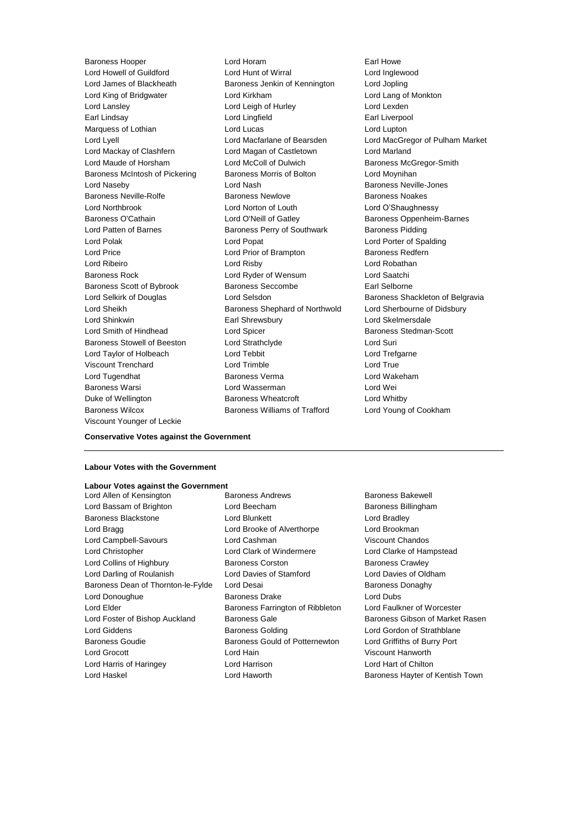Lord Howell of Guildford Lord Hunt of Wirral Lord Inglewood Lord James of Blackheath Baroness Jenkin of Kennington Lord Jopling Lord King of Bridgwater Lord Kirkham Lord Lang of Monkton Lord Lansley **Lord Leigh of Hurley** Lord Lexden Earl Lindsay **Lord Lingfield** Earl Liverpool Marquess of Lothian **Lord Lucas** Lord Lucas Lord Lupton Lord Lyell Lord Macfarlane of Bearsden Lord MacGregor of Pulham Market Lord Mackay of Clashfern Lord Magan of Castletown Lord Marland Lord Maude of Horsham **Lord McColl of Dulwich Baroness McGregor-Smith** Baroness McIntosh of Pickering Baroness Morris of Bolton Lord Moynihan Lord Naseby **Lord Nash Baroness Neville-Jones** Lord Nash Baroness Neville-Jones Baroness Neville-Rolfe Baroness Newlove Baroness Noakes Lord Northbrook Lord Norton of Louth Lord O'Shaughnessy Baroness O'Cathain Lord O'Neill of Gatley Baroness Oppenheim-Barnes Lord Patten of Barnes **Baroness Perry of Southwark** Baroness Pidding Lord Polak Lord Popat Lord Porter of Spalding Lord Price **Lord Prior of Brampton** Baroness Redfern Lord Ribeiro Lord Risby Lord Robathan Baroness Rock Lord Ryder of Wensum Lord Saatchi Baroness Scott of Bybrook Baroness Seccombe Earl Selborne Lord Selkirk of Douglas Lord Selsdon Baroness Shackleton of Belgravia Lord Sheikh **Baroness Shephard of Northwold** Lord Sherbourne of Didsbury Lord Shinkwin Earl Shrewsbury Lord Skelmersdale Lord Smith of Hindhead Lord Spicer Baroness Stedman-Scott Baroness Stowell of Beeston Lord Strathclyde Correspondence Lord Suri Lord Taylor of Holbeach Lord Tebbit Lord Trefgarne Viscount Trenchard Lord Trimble Lord True Lord Tugendhat Baroness Verma Lord Wakeham Baroness Warsi Lord Wasserman Lord Wei Duke of Wellington **Baroness Wheatcroft Lord Whitby** Baroness Wilcox Baroness Williams of Trafford Lord Young of Cookham Viscount Younger of Leckie

Baroness Hooper Lord Horam Earl Howe

#### **Conservative Votes against the Government**

#### **Labour Votes with the Government**

## **Labour Votes against the Government**

- Lord Bassam of Brighton **Lord Beecham** Baroness Billingham Baroness Blackstone **Lord Blunkett** Lord Bradley Lord Bragg **Lord Brooke of Alverthorpe** Lord Brookman Lord Campbell-Savours Lord Cashman Viscount Chandos Lord Christopher Lord Clark of Windermere Lord Clarke of Hampstead Lord Collins of Highbury **Baroness Corston** Baroness Crawley Lord Darling of Roulanish Lord Davies of Stamford Lord Davies of Oldham Baroness Dean of Thornton-le-Fylde Lord Desai Baroness Danaghy Lord Donoughue Baroness Drake Lord Dubs Lord Elder **Baroness Farrington of Ribbleton** Lord Faulkner of Worcester Lord Foster of Bishop Auckland Baroness Gale Baroness Gale Baroness Gibson of Market Rasen Lord Giddens **Baroness Golding** Lord Gordon of Strathblane Baroness Goudie Baroness Gould of Potternewton Lord Griffiths of Burry Port Lord Grocott Lord Hain Viscount Hanworth Lord Harris of Haringey Lord Harrison Lord Hart of Chilton
- Lord Allen of Kensington **Baroness Andrews** Baroness Bakewell

Lord Haskel **Lord Haworth Baroness Hayter of Kentish Town**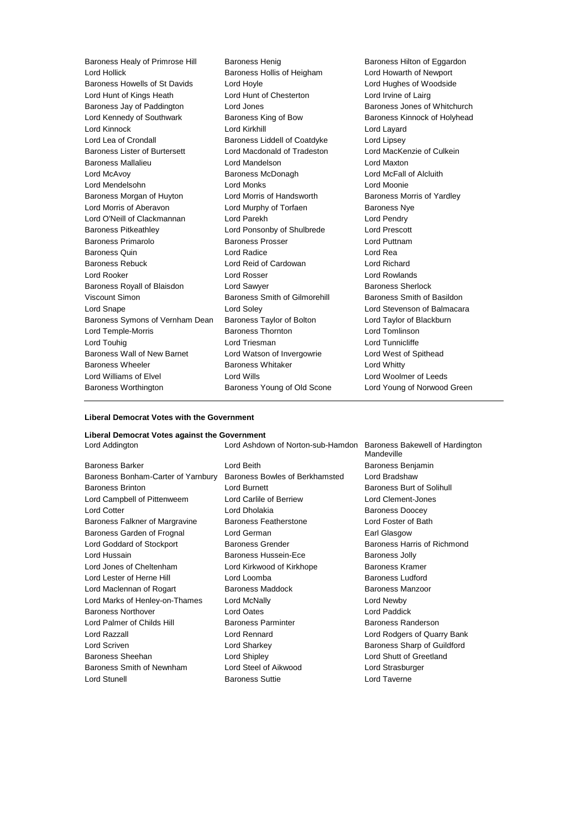| Baroness Healy of Primrose Hill | <b>Baroness Henig</b>         | <b>Baroness</b>   |
|---------------------------------|-------------------------------|-------------------|
| Lord Hollick                    | Baroness Hollis of Heigham    | Lord How          |
| Baroness Howells of St Davids   | Lord Hoyle                    | Lord Hugl         |
| Lord Hunt of Kings Heath        | Lord Hunt of Chesterton       | Lord Irvin        |
| Baroness Jay of Paddington      | Lord Jones                    | Baroness          |
| Lord Kennedy of Southwark       | Baroness King of Bow          | <b>Baroness</b>   |
| Lord Kinnock                    | Lord Kirkhill                 | Lord Laya         |
| Lord Lea of Crondall            | Baroness Liddell of Coatdyke  | Lord Lips         |
| Baroness Lister of Burtersett   | Lord Macdonald of Tradeston   | Lord Mac          |
| <b>Baroness Mallalieu</b>       | Lord Mandelson                | Lord Maxt         |
| Lord McAvoy                     | Baroness McDonagh             | Lord McF          |
| Lord Mendelsohn                 | <b>Lord Monks</b>             | Lord Moo          |
| Baroness Morgan of Huyton       | Lord Morris of Handsworth     | <b>Baroness</b>   |
| Lord Morris of Aberavon         | Lord Murphy of Torfaen        | Baroness          |
| Lord O'Neill of Clackmannan     | Lord Parekh                   | Lord Pend         |
| <b>Baroness Pitkeathley</b>     | Lord Ponsonby of Shulbrede    | <b>Lord Pres</b>  |
| Baroness Primarolo              | <b>Baroness Prosser</b>       | <b>Lord Puttr</b> |
| <b>Baroness Quin</b>            | Lord Radice                   | Lord Rea          |
| <b>Baroness Rebuck</b>          | Lord Reid of Cardowan         | Lord Rich         |
| Lord Rooker                     | Lord Rosser                   | Lord Row          |
| Baroness Royall of Blaisdon     | Lord Sawyer                   | <b>Baroness</b>   |
| Viscount Simon                  | Baroness Smith of Gilmorehill | <b>Baroness</b>   |
| Lord Snape                      | Lord Soley                    | <b>Lord Stev</b>  |
| Baroness Symons of Vernham Dean | Baroness Taylor of Bolton     | Lord Tayl         |
| Lord Temple-Morris              | <b>Baroness Thornton</b>      | Lord Tom          |
| Lord Touhig                     | Lord Triesman                 | Lord Tunr         |
| Baroness Wall of New Barnet     | Lord Watson of Invergowrie    | Lord Wes          |
| <b>Baroness Wheeler</b>         | <b>Baroness Whitaker</b>      | Lord Whit         |
| Lord Williams of Elvel          | Lord Wills                    | Lord Woo          |
| <b>Baroness Worthington</b>     | Baroness Young of Old Scone   | Lord Your         |
|                                 |                               |                   |

Baroness Hilton of Eggardon Lord Howarth of Newport Lord Hughes of Woodside Lord Irvine of Lairg Baroness Jones of Whitchurch Baroness Kinnock of Holyhead Lord Layard Lord Lipsey Lord MacKenzie of Culkein Lord Maxton Lord McFall of Alcluith Lord Moonie Baroness Morris of Yardley Baroness Nye Lord Pendry Lord Prescott Lord Puttnam Lord Richard Lord Rowlands Baroness Sherlock Baroness Smith of Basildon Lord Stevenson of Balmacara Lord Taylor of Blackburn Lord Tomlinson Lord Tunnicliffe Lord West of Spithead Lord Whitty Lord Woolmer of Leeds Lord Young of Norwood Green

#### **Liberal Democrat Votes with the Government**

#### **Liberal Democrat Votes against the Government**

| <b>Baroness Barker</b>             | Lord Beith                  |
|------------------------------------|-----------------------------|
| Baroness Bonham-Carter of Yarnbury | Baroness Bowles of Berkhams |
| <b>Baroness Brinton</b>            | <b>Lord Burnett</b>         |
| Lord Campbell of Pittenweem        | Lord Carlile of Berriew     |
| <b>Lord Cotter</b>                 | Lord Dholakia               |
| Baroness Falkner of Margravine     | Baroness Featherstone       |
| Baroness Garden of Frognal         | Lord German                 |
| Lord Goddard of Stockport          | <b>Baroness Grender</b>     |
| Lord Hussain                       | Baroness Hussein-Fce        |
| Lord Jones of Cheltenham           | Lord Kirkwood of Kirkhope   |
| Lord Lester of Herne Hill          | Lord Loomba                 |
| Lord Maclennan of Rogart           | Baroness Maddock            |
| Lord Marks of Henley-on-Thames     | Lord McNally                |
| <b>Baroness Northover</b>          | <b>Lord Oates</b>           |
| Lord Palmer of Childs Hill         | <b>Baroness Parminter</b>   |
| Lord Razzall                       | Lord Rennard                |
| Lord Scriven                       | Lord Sharkey                |
| <b>Baroness Sheehan</b>            | <b>Lord Shipley</b>         |
| Baroness Smith of Newnham          | Lord Steel of Aikwood       |
| <b>Lord Stunell</b>                | <b>Baroness Suttie</b>      |
|                                    |                             |

Lord Addington Lord Ashdown of Norton-sub-Hamdon Baroness Bakewell of Hardington Mandeville Baroness Benjamin sted Lord Bradshaw Baroness Burt of Solihull Lord Clement-Jones Baroness Doocey Lord Foster of Bath Earl Glasgow Baroness Harris of Richmond Baroness Jolly Baroness Kramer Baroness Ludford Baroness Manzoor Lord Newby Lord Paddick Baroness Randerson Lord Rodgers of Quarry Bank Baroness Sharp of Guildford Lord Shutt of Greetland Lord Strasburger Lord Taverne